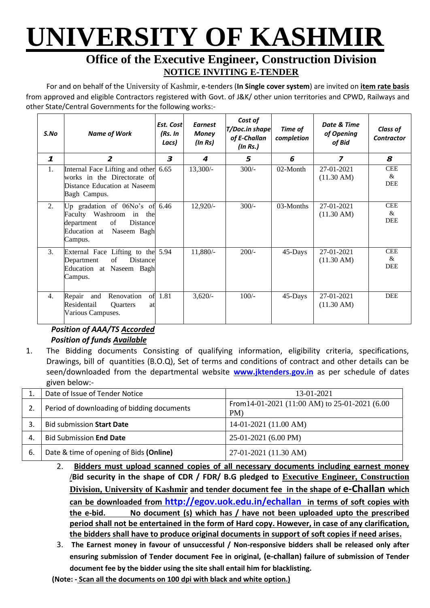# **UNIVERSITY OF KASHMIR**

## **Office of the Executive Engineer, Construction Division NOTICE INVITING E-TENDER**

For and on behalf of the University of Kashmir, e-tenders (**In Single cover system**) are invited on **item rate basis** from approved and eligible Contractors registered with Govt. of J&K/ other union territories and CPWD, Railways and other State/Central Governments for the following works:-

| S.No             | <b>Name of Work</b>                                                                                                                     | Est. Cost<br>(Rs. In<br>Lacs) | <b>Earnest</b><br><b>Money</b><br>(In Rs) | Cost of<br><b>T/Doc.in shape</b><br>of E-Challan<br>(In Rs.) | Time of<br>completion | Date & Time<br>of Opening<br>of Bid | <b>Class of</b><br><b>Contractor</b> |
|------------------|-----------------------------------------------------------------------------------------------------------------------------------------|-------------------------------|-------------------------------------------|--------------------------------------------------------------|-----------------------|-------------------------------------|--------------------------------------|
| $\mathbf{1}$     | $\overline{2}$                                                                                                                          | 3                             | 4                                         | 5                                                            | 6                     | $\overline{\mathbf{z}}$             | 8                                    |
| 1.               | Internal Face Lifting and other 6.65<br>works in the Directorate of<br>Distance Education at Naseem<br>Bagh Campus.                     |                               | $13,300/-$                                | $300/-$                                                      | 02-Month              | 27-01-2021<br>$(11.30 \text{ AM})$  | <b>CEE</b><br>&<br><b>DEE</b>        |
| 2.               | Up gradation of $06No's$ of $6.46$<br>Faculty Washroom in the<br>of<br>Distance<br>department<br>Education at<br>Naseem Bagh<br>Campus. |                               | $12,920/-$                                | $300/-$                                                      | 03-Months             | 27-01-2021<br>$(11.30 \text{ AM})$  | <b>CEE</b><br>&<br><b>DEE</b>        |
| $\mathfrak{Z}$ . | External Face Lifting to the 5.94<br>of<br>Distance<br>Department<br>Education at Naseem Bagh<br>Campus.                                |                               | $11,880/-$                                | $200/-$                                                      | 45-Days               | 27-01-2021<br>$(11.30 \text{ AM})$  | <b>CEE</b><br>&<br><b>DEE</b>        |
| $\overline{4}$ . | Repair<br>Renovation<br>of<br>and<br>Residentail<br><b>Ouarters</b><br>at<br>Various Campuses.                                          | 1.81                          | $3,620/-$                                 | $100/-$                                                      | 45-Days               | 27-01-2021<br>$(11.30 \text{ AM})$  | <b>DEE</b>                           |

### *Position of AAA/TS Accorded Position of funds Available*

1. The Bidding documents Consisting of qualifying information, eligibility criteria, specifications, Drawings, bill of quantities (B.O.Q), Set of terms and conditions of contract and other details can be seen/downloaded from the departmental website **[www.jktenders.gov.in](http://www.pmgsytendersjk.gov.in/)** as per schedule of dates given below:-

|     | Date of Issue of Tender Notice             | 13-01-2021                                                |
|-----|--------------------------------------------|-----------------------------------------------------------|
|     | Period of downloading of bidding documents | From $14-01-2021$ (11:00 AM) to $25-01-2021$ (6.00<br>PM) |
|     | <b>Bid submission Start Date</b>           | $14-01-2021$ (11.00 AM)                                   |
| 4.  | <b>Bid Submission End Date</b>             | 25-01-2021 (6.00 PM)                                      |
| -6. | Date & time of opening of Bids (Online)    | 27-01-2021 (11.30 AM)                                     |

- 2. **Bidders must upload scanned copies of all necessary documents including earnest money /Bid security in the shape of CDR / FDR/ B.G pledged to Executive Engineer, Construction Division, University of Kashmir and tender document fee in the shape of e-Challan which can be downloaded from <http://egov.uok.edu.in/echallan> in terms of soft copies with the e-bid. No document (s) which has / have not been uploaded upto the prescribed period shall not be entertained in the form of Hard copy. However, in case of any clarification, the bidders shall have to produce original documents in support of soft copies if need arises.**
- 3. **The Earnest money in favour of unsuccessful / Non-responsive bidders shall be released only after ensuring submission of Tender document Fee in original, (e-challan) failure of submission of Tender document fee by the bidder using the site shall entail him for blacklisting.**
- **(Note: - Scan all the documents on 100 dpi with black and white option.)**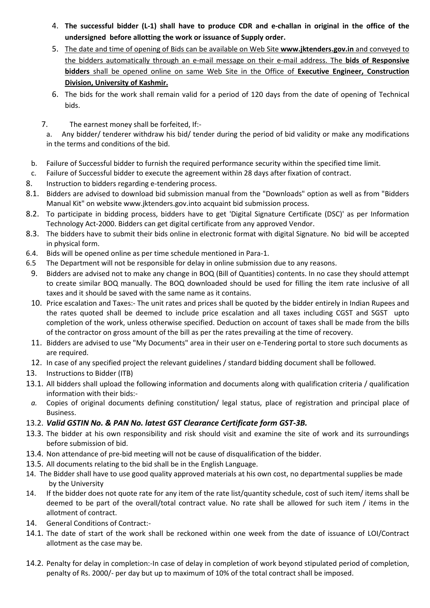- 4. **The successful bidder (L-1) shall have to produce CDR and e-challan in original in the office of the undersigned before allotting the work or issuance of Supply order.**
- 5. The date and time of opening of Bids can be available on Web Site **[www.jktenders.gov.in](http://www.pmgsytendersjk.gov.in/)** and conveyed to the bidders automatically through an e-mail message on their e-mail address. The **bids of Responsive bidders** shall be opened online on same Web Site in the Office of **Executive Engineer, Construction Division, University of Kashmir.**
- 6. The bids for the work shall remain valid for a period of 120 days from the date of opening of Technical bids.
- 7. The earnest money shall be forfeited, If:-

a. Any bidder/ tenderer withdraw his bid/ tender during the period of bid validity or make any modifications in the terms and conditions of the bid.

- b. Failure of Successful bidder to furnish the required performance security within the specified time limit.
- c. Failure of Successful bidder to execute the agreement within 28 days after fixation of contract.
- 8. Instruction to bidders regarding e-tendering process.
- 8.1. Bidders are advised to download bid submission manual from the "Downloads" option as well as from "Bidders Manual Kit" on website [www.jktenders.gov.into](http://www.pmgsytendersjk.gov.into/) acquaint bid submission process.
- 8.2. To participate in bidding process, bidders have to get 'Digital Signature Certificate (DSC)' as per Information Technology Act-2000. Bidders can get digital certificate from any approved Vendor.
- 8.3. The bidders have to submit their bids online in electronic format with digital Signature. No bid will be accepted in physical form.
- 6.4. Bids will be opened online as per time schedule mentioned in Para-1.
- 6.5 The Department will not be responsible for delay in online submission due to any reasons.
- 9. Bidders are advised not to make any change in BOQ (Bill of Quantities) contents. In no case they should attempt to create similar BOQ manually. The BOQ downloaded should be used for filling the item rate inclusive of all taxes and it should be saved with the same name as it contains.
- 10. Price escalation and Taxes:- The unit rates and prices shall be quoted by the bidder entirely in Indian Rupees and the rates quoted shall be deemed to include price escalation and all taxes including CGST and SGST upto completion of the work, unless otherwise specified. Deduction on account of taxes shall be made from the bills of the contractor on gross amount of the bill as per the rates prevailing at the time of recovery.
- 11. Bidders are advised to use "My Documents" area in their user on e-Tendering portal to store such documents as are required.
- 12. In case of any specified project the relevant guidelines / standard bidding document shall be followed.
- 13. Instructions to Bidder (ITB)
- 13.1. All bidders shall upload the following information and documents along with qualification criteria / qualification information with their bids:-
- *a.* Copies of original documents defining constitution/ legal status, place of registration and principal place of Business.

### 13.2. *Valid GSTIN No. & PAN No. latest GST Clearance Certificate form GST-3B.*

- 13.3. The bidder at his own responsibility and risk should visit and examine the site of work and its surroundings before submission of bid.
- 13.4. Non attendance of pre-bid meeting will not be cause of disqualification of the bidder.
- 13.5. All documents relating to the bid shall be in the English Language.
- 14. The Bidder shall have to use good quality approved materials at his own cost, no departmental supplies be made by the University
- 14. If the bidder does not quote rate for any item of the rate list/quantity schedule, cost of such item/ items shall be deemed to be part of the overall/total contract value. No rate shall be allowed for such item / items in the allotment of contract.
- 14. General Conditions of Contract:-
- 14.1. The date of start of the work shall be reckoned within one week from the date of issuance of LOI/Contract allotment as the case may be.
- 14.2. Penalty for delay in completion:-In case of delay in completion of work beyond stipulated period of completion, penalty of Rs. 2000/- per day but up to maximum of 10% of the total contract shall be imposed.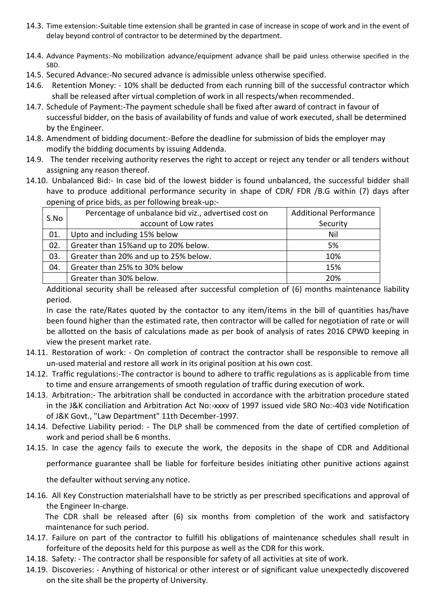- 14.3. Time extension:-Suitable time extension shall be granted in case of increase in scope of work and in the event of delay beyond control of contractor to be determined by the department.
- 14.4. Advance Payments:-No mobilization advance/equipment advance shall be paid unless otherwise specified in the SBD.
- 14.5. Secured Advance:-No secured advance is admissible unless otherwise specified.
- 14.6. Retention Money: 10% shall be deducted from each running bill of the successful contractor which shall be released after virtual completion of work in all respects/when recommended.
- 14.7. Schedule of Payment:-The payment schedule shall be fixed after award of contract in favour of successful bidder, on the basis of availability of funds and value of work executed, shall be determined by the Engineer.
- 14.8. Amendment of bidding document:-Before the deadline for submission of bids the employer may modify the bidding documents by issuing Addenda.
- 14.9. The tender receiving authority reserves the right to accept or reject any tender or all tenders without assigning any reason thereof.
- 14.10. Unbalanced Bid:- In case bid of the lowest bidder is found unbalanced, the successful bidder shall have to produce additional performance security in shape of CDR/ FDR /B.G within (7) days after opening of price bids, as per following break-up:-

| S.No | Percentage of unbalance bid viz., advertised cost on | <b>Additional Performance</b> |  |
|------|------------------------------------------------------|-------------------------------|--|
|      | account of Low rates                                 | Security                      |  |
| 01.  | Upto and including 15% below                         | Nil                           |  |
| 02.  | Greater than 15% and up to 20% below.                | 5%                            |  |
| 03.  | Greater than 20% and up to 25% below.                | 10%                           |  |
| 04.  | Greater than 25% to 30% below                        | 15%                           |  |
|      | Greater than 30% below.                              | 20%                           |  |

Additional security shall be released after successful completion of (6) months maintenance liability period.

In case the rate/Rates quoted by the contactor to any item/items in the bill of quantities has/have been found higher than the estimated rate, then contractor will be called for negotiation of rate or will be allotted on the basis of calculations made as per book of analysis of rates 2016 CPWD keeping in view the present market rate.

- 14.11. Restoration of work: On completion of contract the contractor shall be responsible to remove all un-used material and restore all work in its original position at his own cost.
- 14.12. Traffic regulations:-The contractor is bound to adhere to traffic regulations as is applicable from time to time and ensure arrangements of smooth regulation of traffic during execution of work.
- 14.13. Arbitration:- The arbitration shall be conducted in accordance with the arbitration procedure stated in the J&K conciliation and Arbitration Act No:-xxxv of 1997 issued vide SRO No:-403 vide Notification of J&K Govt., "Law Department" 11th December-1997.
- 14.14. Defective Liability period: The DLP shall be commenced from the date of certified completion of work and period shall be 6 months.
- 14.15. In case the agency fails to execute the work, the deposits in the shape of CDR and Additional

performance guarantee shall be liable for forfeiture besides initiating other punitive actions against

the defaulter without serving any notice.

14.16. All Key Construction materialshall have to be strictly as per prescribed specifications and approval of the Engineer In-charge.

The CDR shall be released after (6) six months from completion of the work and satisfactory maintenance for such period.

- 14.17. Failure on part of the contractor to fulfill his obligations of maintenance schedules shall result in forfeiture of the deposits held for this purpose as well as the CDR for this work.
- 14.18. Safety: The contractor shall be responsible for safety of all activities at site of work.
- 14.19. Discoveries: Anything of historical or other interest or of significant value unexpectedly discovered on the site shall be the property of University.